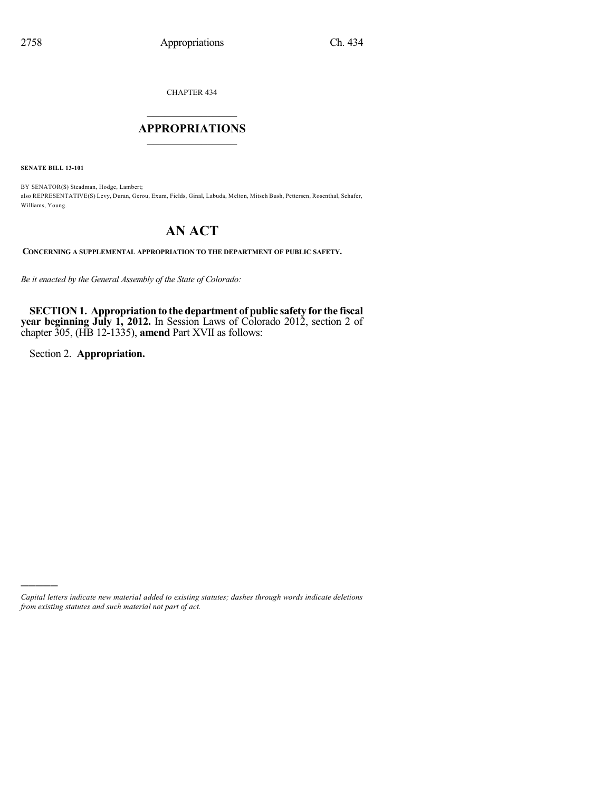CHAPTER 434

# $\overline{\phantom{a}}$  . The set of the set of the set of the set of the set of the set of the set of the set of the set of the set of the set of the set of the set of the set of the set of the set of the set of the set of the set o **APPROPRIATIONS**  $\_$   $\_$   $\_$   $\_$   $\_$   $\_$   $\_$   $\_$

**SENATE BILL 13-101**

BY SENATOR(S) Steadman, Hodge, Lambert; also REPRESENTATIVE(S) Levy, Duran, Gerou, Exum, Fields, Ginal, Labuda, Melton, Mitsch Bush, Pettersen, Rosenthal, Schafer, Williams, Young.

# **AN ACT**

**CONCERNING A SUPPLEMENTAL APPROPRIATION TO THE DEPARTMENT OF PUBLIC SAFETY.**

*Be it enacted by the General Assembly of the State of Colorado:*

**SECTION 1. Appropriation to the department of public safety for the fiscal year beginning July 1, 2012.** In Session Laws of Colorado 2012, section 2 of chapter 305, (HB 12-1335), **amend** Part XVII as follows:

Section 2. **Appropriation.**

)))))

*Capital letters indicate new material added to existing statutes; dashes through words indicate deletions from existing statutes and such material not part of act.*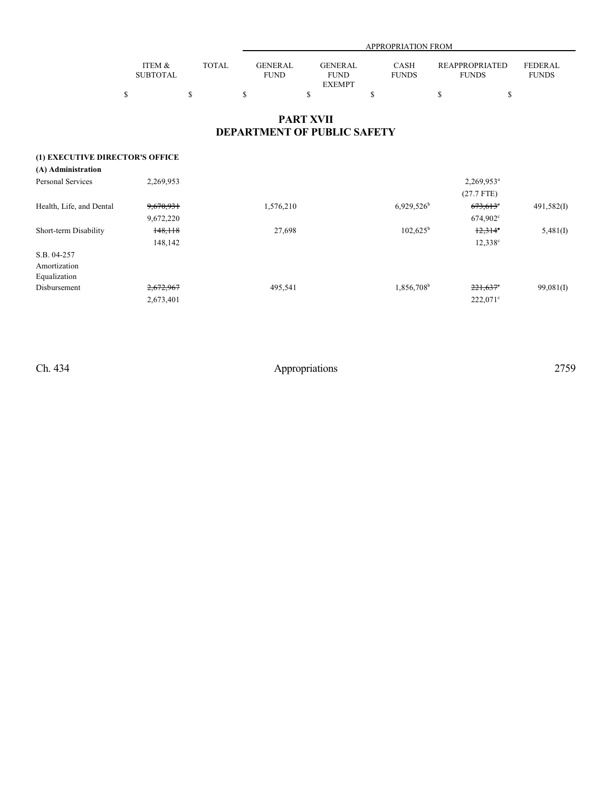|                 |       |                | APPROPRIATION FROM |              |                       |                |  |  |  |  |  |
|-----------------|-------|----------------|--------------------|--------------|-----------------------|----------------|--|--|--|--|--|
|                 |       |                |                    |              |                       |                |  |  |  |  |  |
| ITEM &          | TOTAL | <b>GENERAL</b> | GENERAL            | CASH         | <b>REAPPROPRIATED</b> | <b>FEDERAL</b> |  |  |  |  |  |
| <b>SUBTOTAL</b> |       | <b>FUND</b>    | <b>FUND</b>        | <b>FUNDS</b> | <b>FUNDS</b>          | <b>FUNDS</b>   |  |  |  |  |  |
|                 |       |                | <b>EXEMPT</b>      |              |                       |                |  |  |  |  |  |
|                 |       |                |                    |              |                       |                |  |  |  |  |  |

# **PART XVII DEPARTMENT OF PUBLIC SAFETY**

## **(1) EXECUTIVE DIRECTOR'S OFFICE**

| (A) Administration       |           |           |                          |                   |              |
|--------------------------|-----------|-----------|--------------------------|-------------------|--------------|
| <b>Personal Services</b> | 2,269,953 |           |                          | $2,269,953^a$     |              |
|                          |           |           |                          | $(27.7$ FTE)      |              |
| Health, Life, and Dental | 9,670,931 | 1,576,210 | $6,929,526$ <sup>b</sup> | $673,613$ °       | 491,582(I)   |
|                          | 9,672,220 |           |                          | $674,902^{\circ}$ |              |
| Short-term Disability    | 148,118   | 27,698    | $102,625^{\rm b}$        | $12,314^{\circ}$  | 5,481(I)     |
|                          | 148,142   |           |                          | $12,338^{\circ}$  |              |
| S.B. 04-257              |           |           |                          |                   |              |
| Amortization             |           |           |                          |                   |              |
| Equalization             |           |           |                          |                   |              |
| Disbursement             | 2,672,967 | 495,541   | 1,856,708 <sup>b</sup>   | $221,637$ °       | $99,081$ (I) |
|                          | 2,673,401 |           |                          | $222,071$ °       |              |
|                          |           |           |                          |                   |              |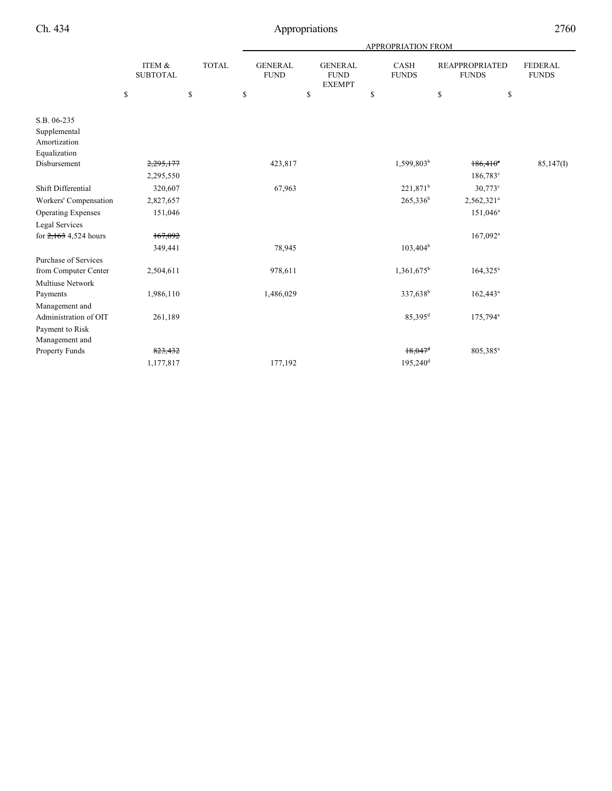|                                         |                           |              | <b>APPROPRIATION FROM</b>     |                                                |                        |                                       |                                |  |  |  |
|-----------------------------------------|---------------------------|--------------|-------------------------------|------------------------------------------------|------------------------|---------------------------------------|--------------------------------|--|--|--|
|                                         | ITEM &<br><b>SUBTOTAL</b> | <b>TOTAL</b> | <b>GENERAL</b><br><b>FUND</b> | <b>GENERAL</b><br><b>FUND</b><br><b>EXEMPT</b> | CASH<br><b>FUNDS</b>   | <b>REAPPROPRIATED</b><br><b>FUNDS</b> | <b>FEDERAL</b><br><b>FUNDS</b> |  |  |  |
|                                         | \$                        | \$           | \$                            | \$                                             | \$                     | \$<br>\$                              |                                |  |  |  |
| S.B. 06-235                             |                           |              |                               |                                                |                        |                                       |                                |  |  |  |
| Supplemental                            |                           |              |                               |                                                |                        |                                       |                                |  |  |  |
| Amortization                            |                           |              |                               |                                                |                        |                                       |                                |  |  |  |
| Equalization                            |                           |              |                               |                                                |                        |                                       |                                |  |  |  |
| Disbursement                            | 2,295,177                 |              | 423,817                       |                                                | 1,599,803 <sup>b</sup> | $186,410$ °                           | 85,147(I)                      |  |  |  |
|                                         | 2,295,550                 |              |                               |                                                |                        | $186,783^{\circ}$                     |                                |  |  |  |
| Shift Differential                      | 320,607                   |              | 67,963                        |                                                | $221,871^b$            | $30,773^{\circ}$                      |                                |  |  |  |
| Workers' Compensation                   | 2,827,657                 |              |                               |                                                | $265,336^b$            | 2,562,321 <sup>a</sup>                |                                |  |  |  |
| <b>Operating Expenses</b>               | 151,046                   |              |                               |                                                |                        | 151,046 <sup>a</sup>                  |                                |  |  |  |
| Legal Services                          |                           |              |                               |                                                |                        |                                       |                                |  |  |  |
| for $2,163$ 4,524 hours                 | 167,092                   |              |                               |                                                |                        | $167,092$ <sup>a</sup>                |                                |  |  |  |
|                                         | 349,441                   |              | 78,945                        |                                                | $103,404^b$            |                                       |                                |  |  |  |
| <b>Purchase of Services</b>             |                           |              |                               |                                                |                        |                                       |                                |  |  |  |
| from Computer Center                    | 2,504,611                 |              | 978,611                       |                                                | $1,361,675^b$          | $164,325^a$                           |                                |  |  |  |
| <b>Multiuse Network</b>                 |                           |              |                               |                                                |                        |                                       |                                |  |  |  |
| Payments                                | 1,986,110                 |              | 1,486,029                     |                                                | 337,638 <sup>b</sup>   | $162,443^a$                           |                                |  |  |  |
| Management and<br>Administration of OIT | 261,189                   |              |                               |                                                | $85,395$ <sup>d</sup>  | 175,794 <sup>a</sup>                  |                                |  |  |  |
| Payment to Risk                         |                           |              |                               |                                                |                        |                                       |                                |  |  |  |
| Management and                          |                           |              |                               |                                                |                        |                                       |                                |  |  |  |
| Property Funds                          | 823,432                   |              |                               |                                                | $18,047$ <sup>d</sup>  | 805,385 <sup>a</sup>                  |                                |  |  |  |
|                                         | 1,177,817                 |              | 177,192                       |                                                | $195,240$ <sup>d</sup> |                                       |                                |  |  |  |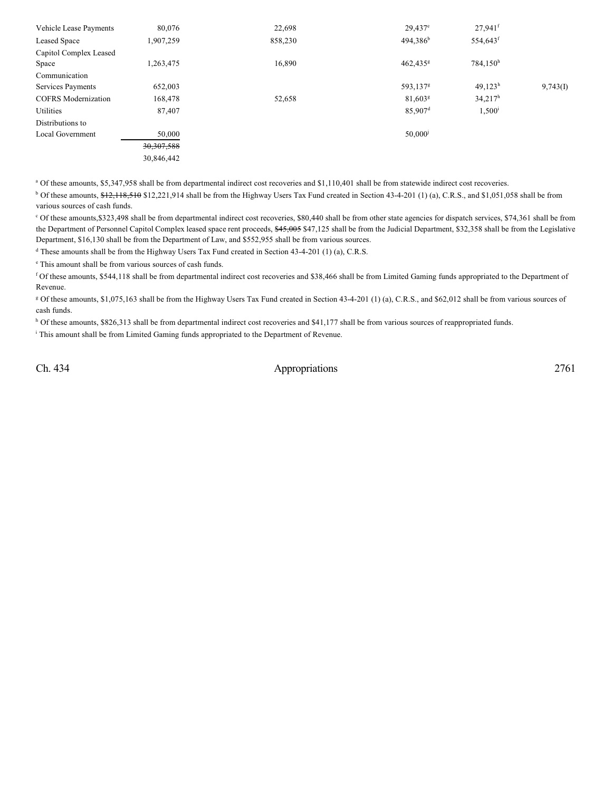| Vehicle Lease Payments     | 80,076       | 22,698  | $29,437$ <sup>e</sup>  | $27.941$ <sup>f</sup> |          |
|----------------------------|--------------|---------|------------------------|-----------------------|----------|
| <b>Leased Space</b>        | 1,907,259    | 858,230 | $494,386^b$            | 554,643 <sup>f</sup>  |          |
| Capitol Complex Leased     |              |         |                        |                       |          |
| Space                      | 1,263,475    | 16,890  | $462,435$ <sup>g</sup> | 784,150h              |          |
| Communication              |              |         |                        |                       |          |
| Services Payments          | 652,003      |         | 593,137 <sup>g</sup>   | $49,123^h$            | 9,743(1) |
| <b>COFRS</b> Modernization | 168,478      | 52,658  | 81,603 <sup>g</sup>    | $34.217^h$            |          |
| Utilities                  | 87,407       |         | $85,907$ <sup>d</sup>  | $1,500^{\rm i}$       |          |
| Distributions to           |              |         |                        |                       |          |
| Local Government           | 50,000       |         | $50,000$ <sup>j</sup>  |                       |          |
|                            | 30, 307, 588 |         |                        |                       |          |
|                            | 30.846.442   |         |                        |                       |          |

<sup>a</sup> Of these amounts, \$5,347,958 shall be from departmental indirect cost recoveries and \$1,110,401 shall be from statewide indirect cost recoveries.

<sup>b</sup> Of these amounts, \$12,118,510 \$12,221,914 shall be from the Highway Users Tax Fund created in Section 43-4-201 (1) (a), C.R.S., and \$1,051,058 shall be from various sources of cash funds.

 Of these amounts,\$323,498 shall be from departmental indirect cost recoveries, \$80,440 shall be from other state agencies for dispatch services, \$74,361 shall be from <sup>c</sup> the Department of Personnel Capitol Complex leased space rent proceeds, \$45,005 \$47,125 shall be from the Judicial Department, \$32,358 shall be from the Legislative Department, \$16,130 shall be from the Department of Law, and \$552,955 shall be from various sources.

<sup>d</sup> These amounts shall be from the Highway Users Tax Fund created in Section 43-4-201 (1) (a), C.R.S.

<sup>e</sup> This amount shall be from various sources of cash funds.

f Of these amounts, \$544,118 shall be from departmental indirect cost recoveries and \$38,466 shall be from Limited Gaming funds appropriated to the Department of Revenue.

<sup>g</sup> Of these amounts, \$1,075,163 shall be from the Highway Users Tax Fund created in Section 43-4-201 (1) (a), C.R.S., and \$62,012 shall be from various sources of cash funds.

h Of these amounts, \$826,313 shall be from departmental indirect cost recoveries and \$41,177 shall be from various sources of reappropriated funds.

<sup>i</sup> This amount shall be from Limited Gaming funds appropriated to the Department of Revenue.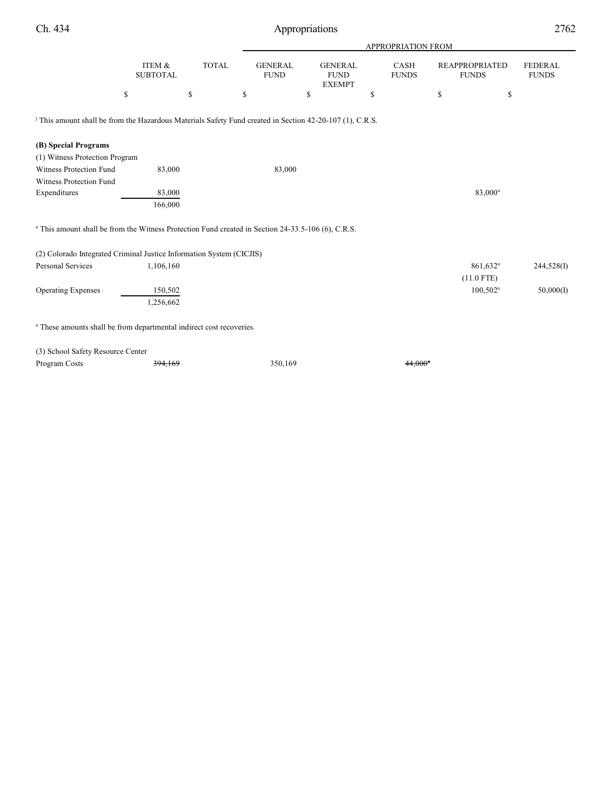|                                                                                                                     |                           |              |                               |                                                | <b>APPROPRIATION FROM</b> |                                       |                                |
|---------------------------------------------------------------------------------------------------------------------|---------------------------|--------------|-------------------------------|------------------------------------------------|---------------------------|---------------------------------------|--------------------------------|
|                                                                                                                     | ITEM &<br><b>SUBTOTAL</b> | <b>TOTAL</b> | <b>GENERAL</b><br><b>FUND</b> | <b>GENERAL</b><br><b>FUND</b><br><b>EXEMPT</b> | CASH<br><b>FUNDS</b>      | <b>REAPPROPRIATED</b><br><b>FUNDS</b> | <b>FEDERAL</b><br><b>FUNDS</b> |
|                                                                                                                     | \$                        | \$           | \$                            | \$                                             | \$                        | \$<br>\$                              |                                |
| <sup>j</sup> This amount shall be from the Hazardous Materials Safety Fund created in Section 42-20-107 (1), C.R.S. |                           |              |                               |                                                |                           |                                       |                                |
| (B) Special Programs                                                                                                |                           |              |                               |                                                |                           |                                       |                                |
| (1) Witness Protection Program                                                                                      |                           |              |                               |                                                |                           |                                       |                                |
| <b>Witness Protection Fund</b>                                                                                      | 83,000                    |              | 83,000                        |                                                |                           |                                       |                                |
| <b>Witness Protection Fund</b>                                                                                      |                           |              |                               |                                                |                           |                                       |                                |
| Expenditures                                                                                                        | 83,000                    |              |                               |                                                |                           | 83,000 <sup>a</sup>                   |                                |
|                                                                                                                     | 166,000                   |              |                               |                                                |                           |                                       |                                |
| <sup>a</sup> This amount shall be from the Witness Protection Fund created in Section 24-33.5-106 (6), C.R.S.       |                           |              |                               |                                                |                           |                                       |                                |
| (2) Colorado Integrated Criminal Justice Information System (CICJIS)                                                |                           |              |                               |                                                |                           |                                       |                                |
| Personal Services                                                                                                   | 1,106,160                 |              |                               |                                                |                           | 861,632 <sup>a</sup>                  | 244,528(I)                     |
|                                                                                                                     |                           |              |                               |                                                |                           | $(11.0$ FTE)                          |                                |
| <b>Operating Expenses</b>                                                                                           | 150,502                   |              |                               |                                                |                           | $100,502^a$                           | 50,000(I)                      |
|                                                                                                                     | 1,256,662                 |              |                               |                                                |                           |                                       |                                |
| <sup>a</sup> These amounts shall be from departmental indirect cost recoveries.                                     |                           |              |                               |                                                |                           |                                       |                                |
| (3) School Safety Resource Center                                                                                   |                           |              |                               |                                                |                           |                                       |                                |

Program Costs 394,169 350,169 350,169 44,000<sup>\*</sup>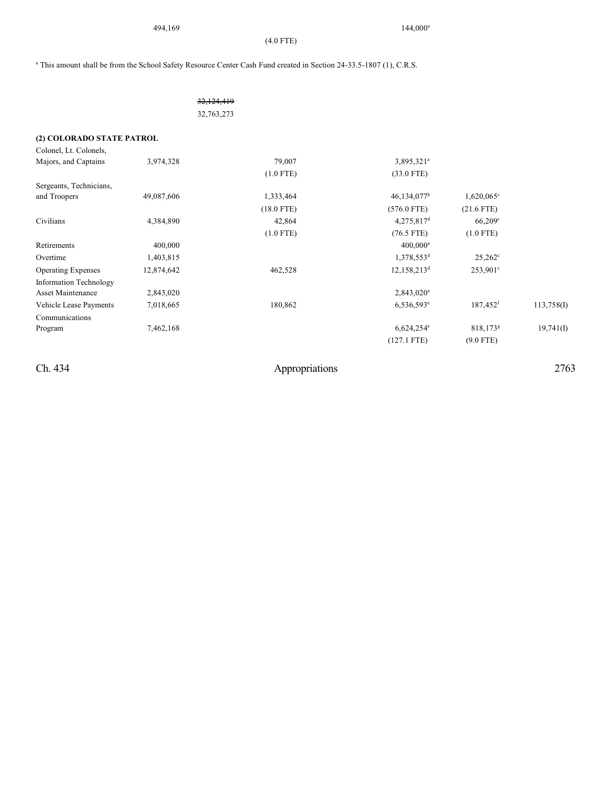494,169 144,000

(4.0 FTE)

 $144,000^a$ 

<sup>a</sup> This amount shall be from the School Safety Resource Center Cash Fund created in Section 24-33.5-1807 (1), C.R.S.

|  |  | <del>32,124,419</del> |
|--|--|-----------------------|
|  |  | 32,763,273            |
|  |  |                       |

**(2) COLORADO STATE PATROL**

| Colonel, Lt. Colonels,    |            |              |                          |                        |            |
|---------------------------|------------|--------------|--------------------------|------------------------|------------|
| Majors, and Captains      | 3,974,328  | 79,007       | 3,895,321 <sup>a</sup>   |                        |            |
|                           |            | $(1.0$ FTE)  | $(33.0$ FTE)             |                        |            |
| Sergeants, Technicians,   |            |              |                          |                        |            |
| and Troopers              | 49,087,606 | 1,333,464    | $46,134,077^b$           | $1,620,065^{\circ}$    |            |
|                           |            | $(18.0$ FTE) | $(576.0$ FTE)            | $(21.6$ FTE)           |            |
| Civilians                 | 4,384,890  | 42,864       | $4,275,817$ <sup>d</sup> | $66,209^{\circ}$       |            |
|                           |            | $(1.0$ FTE)  | $(76.5$ FTE)             | $(1.0$ FTE)            |            |
| Retirements               | 400,000    |              | $400,000^a$              |                        |            |
| Overtime                  | 1,403,815  |              | 1,378,553 <sup>d</sup>   | $25,262^{\circ}$       |            |
| <b>Operating Expenses</b> | 12,874,642 | 462,528      | $12,158,213^d$           | $253,901^{\circ}$      |            |
| Information Technology    |            |              |                          |                        |            |
| <b>Asset Maintenance</b>  | 2,843,020  |              | $2,843,020^a$            |                        |            |
| Vehicle Lease Payments    | 7,018,665  | 180,862      | $6,536,593^e$            | 187,452 <sup>f</sup>   | 113,758(I) |
| Communications            |            |              |                          |                        |            |
| Program                   | 7,462,168  |              | $6,624,254^e$            | $818,173$ <sup>g</sup> | 19,741(I)  |
|                           |            |              | $(127.1$ FTE)            | $(9.0$ FTE)            |            |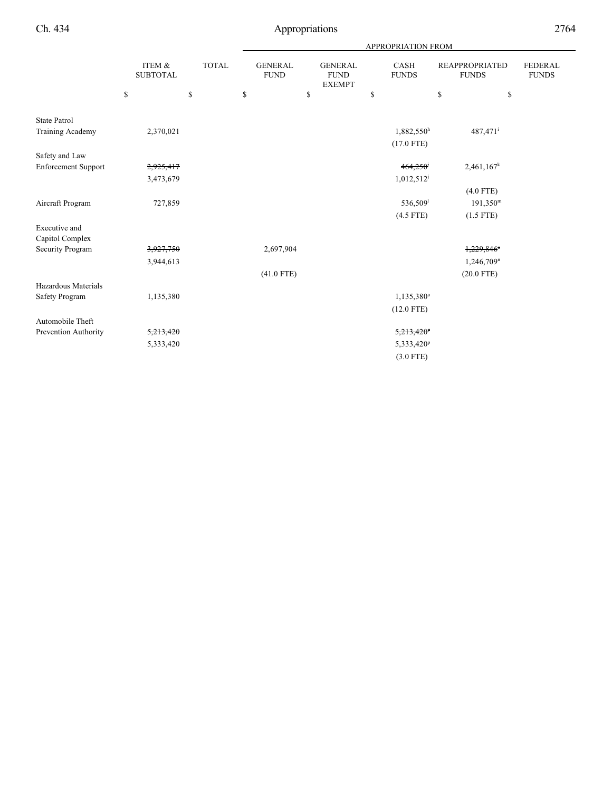|                            |                           | APPROPRIATION FROM |                               |    |                                                |    |                             |                                |                                |
|----------------------------|---------------------------|--------------------|-------------------------------|----|------------------------------------------------|----|-----------------------------|--------------------------------|--------------------------------|
|                            | ITEM &<br><b>SUBTOTAL</b> | <b>TOTAL</b>       | <b>GENERAL</b><br><b>FUND</b> |    | <b>GENERAL</b><br><b>FUND</b><br><b>EXEMPT</b> |    | <b>CASH</b><br><b>FUNDS</b> | REAPPROPRIATED<br><b>FUNDS</b> | <b>FEDERAL</b><br><b>FUNDS</b> |
|                            | \$                        | \$                 | \$                            | \$ |                                                | \$ |                             | \$<br>\$                       |                                |
| <b>State Patrol</b>        |                           |                    |                               |    |                                                |    |                             |                                |                                |
| Training Academy           | 2,370,021                 |                    |                               |    |                                                |    | 1,882,550h                  | 487,471 <sup>i</sup>           |                                |
|                            |                           |                    |                               |    |                                                |    | $(17.0$ FTE)                |                                |                                |
| Safety and Law             |                           |                    |                               |    |                                                |    |                             |                                |                                |
| <b>Enforcement Support</b> | 2,925,417                 |                    |                               |    |                                                |    | 464,250                     | 2,461,167 <sup>k</sup>         |                                |
|                            | 3,473,679                 |                    |                               |    |                                                |    | $1,012,512^j$               |                                |                                |
|                            |                           |                    |                               |    |                                                |    |                             | $(4.0$ FTE)                    |                                |
| Aircraft Program           | 727,859                   |                    |                               |    |                                                |    | 536,509                     | $191,350^{\rm m}$              |                                |
|                            |                           |                    |                               |    |                                                |    | $(4.5$ FTE)                 | $(1.5$ FTE)                    |                                |
| Executive and              |                           |                    |                               |    |                                                |    |                             |                                |                                |
| Capitol Complex            |                           |                    |                               |    |                                                |    |                             |                                |                                |
| <b>Security Program</b>    | 3,927,750                 |                    | 2,697,904                     |    |                                                |    |                             | $1,229,846$ <sup>n</sup>       |                                |
|                            | 3,944,613                 |                    |                               |    |                                                |    |                             | 1,246,709 <sup>n</sup>         |                                |
|                            |                           |                    | $(41.0$ FTE)                  |    |                                                |    |                             | $(20.0$ FTE)                   |                                |
| Hazardous Materials        |                           |                    |                               |    |                                                |    |                             |                                |                                |
| Safety Program             | 1,135,380                 |                    |                               |    |                                                |    | 1,135,380°                  |                                |                                |
|                            |                           |                    |                               |    |                                                |    | $(12.0$ FTE)                |                                |                                |
| Automobile Theft           |                           |                    |                               |    |                                                |    |                             |                                |                                |
| Prevention Authority       | 5,213,420                 |                    |                               |    |                                                |    | $5,213,420^{\circ}$         |                                |                                |
|                            | 5,333,420                 |                    |                               |    |                                                |    | 5,333,420 <sup>p</sup>      |                                |                                |
|                            |                           |                    |                               |    |                                                |    | $(3.0$ FTE)                 |                                |                                |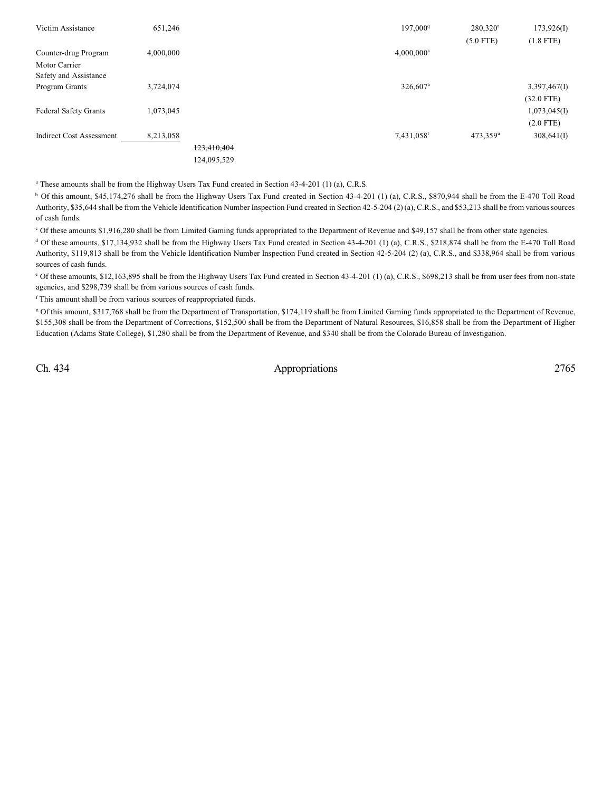| Victim Assistance               | 651,246     | 197,000 <sup>q</sup>     | 280,320 <sup>r</sup> | 173,926(I)   |
|---------------------------------|-------------|--------------------------|----------------------|--------------|
|                                 |             |                          | $(5.0$ FTE)          | $(1.8$ FTE)  |
| Counter-drug Program            | 4,000,000   | $4,000,000$ <sup>s</sup> |                      |              |
| Motor Carrier                   |             |                          |                      |              |
| Safety and Assistance           |             |                          |                      |              |
| Program Grants                  | 3,724,074   | 326,607 <sup>a</sup>     |                      | 3,397,467(I) |
|                                 |             |                          |                      | $(32.0$ FTE) |
| <b>Federal Safety Grants</b>    | 1,073,045   |                          |                      | 1,073,045(I) |
|                                 |             |                          |                      | $(2.0$ FTE)  |
| <b>Indirect Cost Assessment</b> | 8,213,058   | 7,431,058 <sup>t</sup>   | 473,359 <sup>u</sup> | 308,641(I)   |
|                                 | 123,410,404 |                          |                      |              |
|                                 | 124,095,529 |                          |                      |              |

 $^{\circ}$  These amounts shall be from the Highway Users Tax Fund created in Section 43-4-201 (1) (a), C.R.S.

<sup>b</sup> Of this amount, \$45,174,276 shall be from the Highway Users Tax Fund created in Section 43-4-201 (1) (a), C.R.S., \$870,944 shall be from the E-470 Toll Road Authority, \$35,644 shall be from the Vehicle Identification Number Inspection Fund created in Section 42-5-204 (2) (a), C.R.S., and \$53,213 shall be from various sources of cash funds.

 $\degree$  Of these amounts \$1,916,280 shall be from Limited Gaming funds appropriated to the Department of Revenue and \$49,157 shall be from other state agencies.

 $<sup>d</sup>$  Of these amounts, \$17,134,932 shall be from the Highway Users Tax Fund created in Section 43-4-201 (1) (a), C.R.S., \$218,874 shall be from the E-470 Toll Road</sup> Authority, \$119,813 shall be from the Vehicle Identification Number Inspection Fund created in Section 42-5-204 (2) (a), C.R.S., and \$338,964 shall be from various sources of cash funds.

<sup>e</sup> Of these amounts, \$12,163,895 shall be from the Highway Users Tax Fund created in Section 43-4-201 (1) (a), C.R.S., \$698,213 shall be from user fees from non-state agencies, and \$298,739 shall be from various sources of cash funds.

<sup>f</sup> This amount shall be from various sources of reappropriated funds.

 Of this amount, \$317,768 shall be from the Department of Transportation, \$174,119 shall be from Limited Gaming funds appropriated to the Department of Revenue, <sup>g</sup> \$155,308 shall be from the Department of Corrections, \$152,500 shall be from the Department of Natural Resources, \$16,858 shall be from the Department of Higher Education (Adams State College), \$1,280 shall be from the Department of Revenue, and \$340 shall be from the Colorado Bureau of Investigation.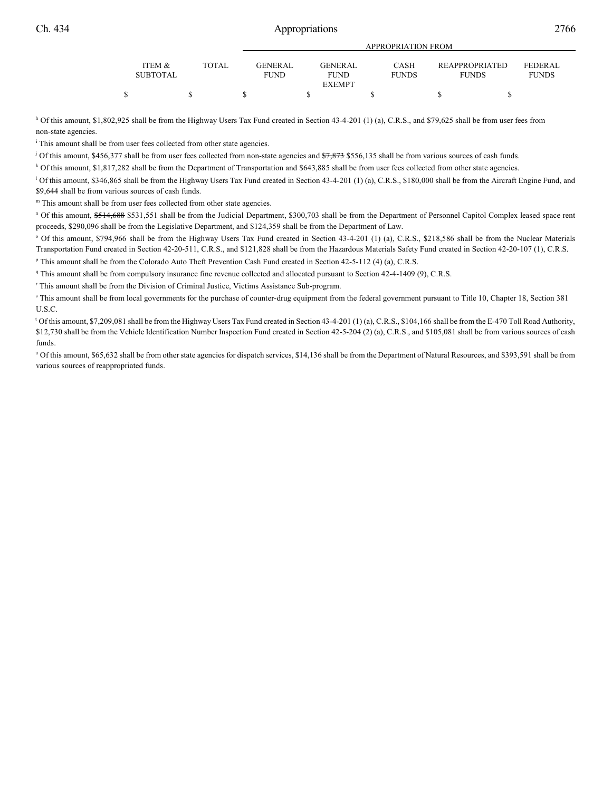|  | í | ١ |
|--|---|---|
|  |   |   |

|                 |              | APPROPRIATION FROM |                |              |                       |              |  |  |  |
|-----------------|--------------|--------------------|----------------|--------------|-----------------------|--------------|--|--|--|
| ITEM &          | <b>TOTAL</b> | <b>GENERAL</b>     | <b>GENERAL</b> | CASH         | <b>REAPPROPRIATED</b> | FEDERAL.     |  |  |  |
| <b>SUBTOTAL</b> |              | <b>FUND</b>        | <b>FUND</b>    | <b>FUNDS</b> | <b>FUNDS</b>          | <b>FUNDS</b> |  |  |  |
|                 |              |                    | <b>EXEMPT</b>  |              |                       |              |  |  |  |
|                 |              |                    |                |              |                       |              |  |  |  |

<sup>h</sup> Of this amount, \$1,802,925 shall be from the Highway Users Tax Fund created in Section 43-4-201 (1) (a), C.R.S., and \$79,625 shall be from user fees from non-state agencies.

<sup>i</sup> This amount shall be from user fees collected from other state agencies.

<sup>j</sup> Of this amount, \$456,377 shall be from user fees collected from non-state agencies and  $\frac{1}{37,873}$  \$556,135 shall be from various sources of cash funds.

Of this amount, \$1,817,282 shall be from the Department of Transportation and \$643,885 shall be from user fees collected from other state agencies. <sup>k</sup>

<sup>1</sup> Of this amount, \$346,865 shall be from the Highway Users Tax Fund created in Section 43-4-201 (1) (a), C.R.S., \$180,000 shall be from the Aircraft Engine Fund, and \$9,644 shall be from various sources of cash funds.

m This amount shall be from user fees collected from other state agencies.

<sup>n</sup> Of this amount, \$514,688 \$531,551 shall be from the Judicial Department, \$300,703 shall be from the Department of Personnel Capitol Complex leased space rent proceeds, \$290,096 shall be from the Legislative Department, and \$124,359 shall be from the Department of Law.

<sup>o</sup> Of this amount, \$794,966 shall be from the Highway Users Tax Fund created in Section 43-4-201 (1) (a), C.R.S., \$218,586 shall be from the Nuclear Materials Transportation Fund created in Section 42-20-511, C.R.S., and \$121,828 shall be from the Hazardous Materials Safety Fund created in Section 42-20-107 (1), C.R.S.

<sup>p</sup> This amount shall be from the Colorado Auto Theft Prevention Cash Fund created in Section 42-5-112 (4) (a), C.R.S.

This amount shall be from compulsory insurance fine revenue collected and allocated pursuant to Section 42-4-1409 (9), C.R.S. <sup>q</sup>

<sup>r</sup> This amount shall be from the Division of Criminal Justice, Victims Assistance Sub-program.

<sup>8</sup> This amount shall be from local governments for the purchase of counter-drug equipment from the federal government pursuant to Title 10, Chapter 18, Section 381 U.S.C.

 $^{\text{t}}$  Of this amount, \$7,209,081 shall be from the Highway Users Tax Fund created in Section 43-4-201 (1) (a), C.R.S., \$104,166 shall be from the E-470 Toll Road Authority, \$12,730 shall be from the Vehicle Identification Number Inspection Fund created in Section 42-5-204 (2) (a), C.R.S., and \$105,081 shall be from various sources of cash funds.

" Of this amount, \$65,632 shall be from other state agencies for dispatch services, \$14,136 shall be from the Department of Natural Resources, and \$393,591 shall be from various sources of reappropriated funds.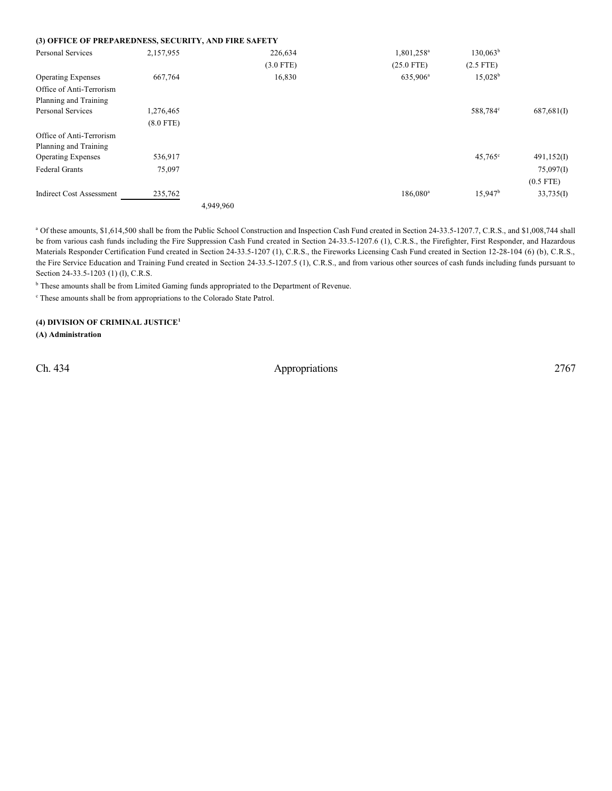| (3) OFFICE OF PREPAREDNESS, SECURITY, AND FIRE SAFETY |             |           |             |                        |                  |             |
|-------------------------------------------------------|-------------|-----------|-------------|------------------------|------------------|-------------|
| <b>Personal Services</b>                              | 2,157,955   |           | 226,634     | 1,801,258 <sup>a</sup> | $130,063^b$      |             |
|                                                       |             |           | $(3.0$ FTE) | $(25.0$ FTE)           | $(2.5$ FTE)      |             |
| <b>Operating Expenses</b>                             | 667,764     |           | 16,830      | 635,906 <sup>a</sup>   | $15,028^{\rm b}$ |             |
| Office of Anti-Terrorism                              |             |           |             |                        |                  |             |
| Planning and Training                                 |             |           |             |                        |                  |             |
| <b>Personal Services</b>                              | 1,276,465   |           |             |                        | 588,784°         | 687,681(I)  |
|                                                       | $(8.0$ FTE) |           |             |                        |                  |             |
| Office of Anti-Terrorism                              |             |           |             |                        |                  |             |
| Planning and Training                                 |             |           |             |                        |                  |             |
| <b>Operating Expenses</b>                             | 536,917     |           |             |                        | $45,765^{\circ}$ | 491,152(I)  |
| <b>Federal Grants</b>                                 | 75,097      |           |             |                        |                  | 75,097(I)   |
|                                                       |             |           |             |                        |                  | $(0.5$ FTE) |
| <b>Indirect Cost Assessment</b>                       | 235,762     |           |             | 186,080 <sup>a</sup>   | $15,947^{\rm b}$ | 33,735(I)   |
|                                                       |             | 4,949,960 |             |                        |                  |             |

<sup>a</sup> Of these amounts, \$1,614,500 shall be from the Public School Construction and Inspection Cash Fund created in Section 24-33.5-1207.7, C.R.S., and \$1,008,744 shall be from various cash funds including the Fire Suppression Cash Fund created in Section 24-33.5-1207.6 (1), C.R.S., the Firefighter, First Responder, and Hazardous Materials Responder Certification Fund created in Section 24-33.5-1207 (1), C.R.S., the Fireworks Licensing Cash Fund created in Section 12-28-104 (6) (b), C.R.S., the Fire Service Education and Training Fund created in Section 24-33.5-1207.5 (1), C.R.S., and from various other sources of cash funds including funds pursuant to Section 24-33.5-1203 (1) (l), C.R.S.

<sup>b</sup> These amounts shall be from Limited Gaming funds appropriated to the Department of Revenue.

<sup>c</sup> These amounts shall be from appropriations to the Colorado State Patrol.

### **(4) DIVISION OF CRIMINAL JUSTICE<sup>1</sup>**

**(A) Administration**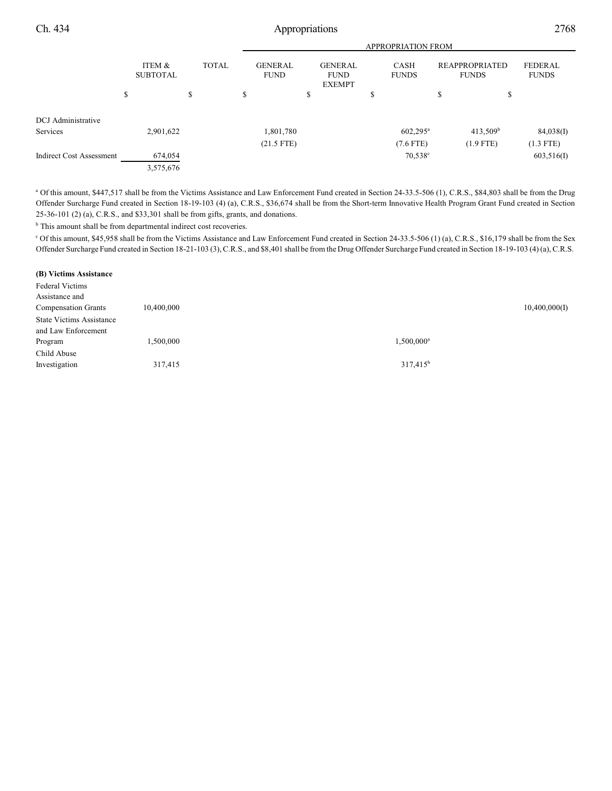|                                 | <b>APPROPRIATION FROM</b> |              |    |                               |                                                |    |                             |                                       |                      |                                |
|---------------------------------|---------------------------|--------------|----|-------------------------------|------------------------------------------------|----|-----------------------------|---------------------------------------|----------------------|--------------------------------|
|                                 | ITEM &<br><b>SUBTOTAL</b> | <b>TOTAL</b> |    | <b>GENERAL</b><br><b>FUND</b> | <b>GENERAL</b><br><b>FUND</b><br><b>EXEMPT</b> |    | <b>CASH</b><br><b>FUNDS</b> | <b>REAPPROPRIATED</b><br><b>FUNDS</b> |                      | <b>FEDERAL</b><br><b>FUNDS</b> |
|                                 | \$                        | \$           | \$ |                               | \$                                             | J. |                             | \$                                    | S                    |                                |
| DCJ Administrative              |                           |              |    |                               |                                                |    |                             |                                       |                      |                                |
| Services                        | 2,901,622                 |              |    | 1,801,780                     |                                                |    | $602,295^{\text{a}}$        |                                       | 413,509 <sup>b</sup> | 84,038(I)                      |
|                                 |                           |              |    | $(21.5$ FTE)                  |                                                |    | $(7.6$ FTE)                 |                                       | $(1.9$ FTE)          | $(1.3$ FTE)                    |
| <b>Indirect Cost Assessment</b> | 674,054                   |              |    |                               |                                                |    | $70,538^{\circ}$            |                                       |                      | 603,516(I)                     |
|                                 | 3,575,676                 |              |    |                               |                                                |    |                             |                                       |                      |                                |

<sup>a</sup> Of this amount, \$447,517 shall be from the Victims Assistance and Law Enforcement Fund created in Section 24-33.5-506 (1), C.R.S., \$84,803 shall be from the Drug Offender Surcharge Fund created in Section 18-19-103 (4) (a), C.R.S., \$36,674 shall be from the Short-term Innovative Health Program Grant Fund created in Section 25-36-101 (2) (a), C.R.S., and \$33,301 shall be from gifts, grants, and donations.

 $<sup>b</sup>$  This amount shall be from departmental indirect cost recoveries.</sup>

Of this amount, \$45,958 shall be from the Victims Assistance and Law Enforcement Fund created in Section 24-33.5-506 (1) (a), C.R.S., \$16,179 shall be from the Sex <sup>c</sup> Offender Surcharge Fund created in Section 18-21-103 (3), C.R.S., and \$8,401 shall be from the Drug Offender Surcharge Fund created in Section 18-19-103 (4) (a), C.R.S.

#### **(B) Victims Assistance**

| <b>Federal Victims</b>          |            |               |               |
|---------------------------------|------------|---------------|---------------|
| Assistance and                  |            |               |               |
| <b>Compensation Grants</b>      | 10,400,000 |               | 10,400,000(I) |
| <b>State Victims Assistance</b> |            |               |               |
| and Law Enforcement             |            |               |               |
| Program                         | 1,500,000  | $1,500,000^a$ |               |
| Child Abuse                     |            |               |               |
| Investigation                   | 317,415    | $317,415^b$   |               |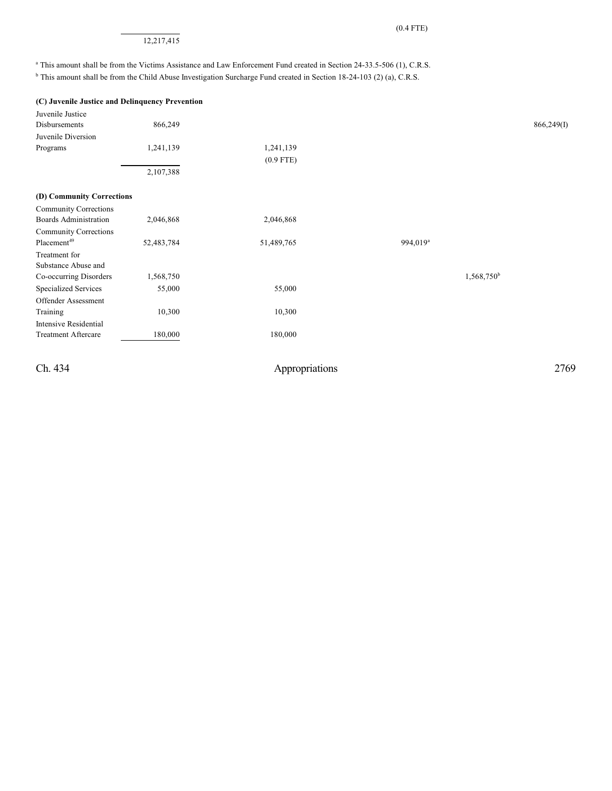### 12,217,415

<sup>a</sup> This amount shall be from the Victims Assistance and Law Enforcement Fund created in Section 24-33.5-506 (1), C.R.S.

<sup>b</sup> This amount shall be from the Child Abuse Investigation Surcharge Fund created in Section 18-24-103 (2) (a), C.R.S.

| (C) Juvenile Justice and Delinquency Prevention |            |             |                      |                        |            |
|-------------------------------------------------|------------|-------------|----------------------|------------------------|------------|
| Juvenile Justice                                |            |             |                      |                        |            |
| Disbursements                                   | 866,249    |             |                      |                        | 866,249(I) |
| Juvenile Diversion                              |            |             |                      |                        |            |
| Programs                                        | 1,241,139  | 1,241,139   |                      |                        |            |
|                                                 |            | $(0.9$ FTE) |                      |                        |            |
|                                                 | 2,107,388  |             |                      |                        |            |
| (D) Community Corrections                       |            |             |                      |                        |            |
| <b>Community Corrections</b>                    |            |             |                      |                        |            |
| Boards Administration                           | 2,046,868  | 2,046,868   |                      |                        |            |
| <b>Community Corrections</b>                    |            |             |                      |                        |            |
| Placement <sup>49</sup>                         | 52,483,784 | 51,489,765  | 994,019 <sup>a</sup> |                        |            |
| Treatment for                                   |            |             |                      |                        |            |
| Substance Abuse and                             |            |             |                      |                        |            |
| Co-occurring Disorders                          | 1,568,750  |             |                      | 1,568,750 <sup>b</sup> |            |
| <b>Specialized Services</b>                     | 55,000     | 55,000      |                      |                        |            |
| Offender Assessment                             |            |             |                      |                        |            |
| Training                                        | 10,300     | 10,300      |                      |                        |            |
| Intensive Residential                           |            |             |                      |                        |            |
| <b>Treatment Aftercare</b>                      | 180,000    | 180,000     |                      |                        |            |
|                                                 |            |             |                      |                        |            |
|                                                 |            |             |                      |                        |            |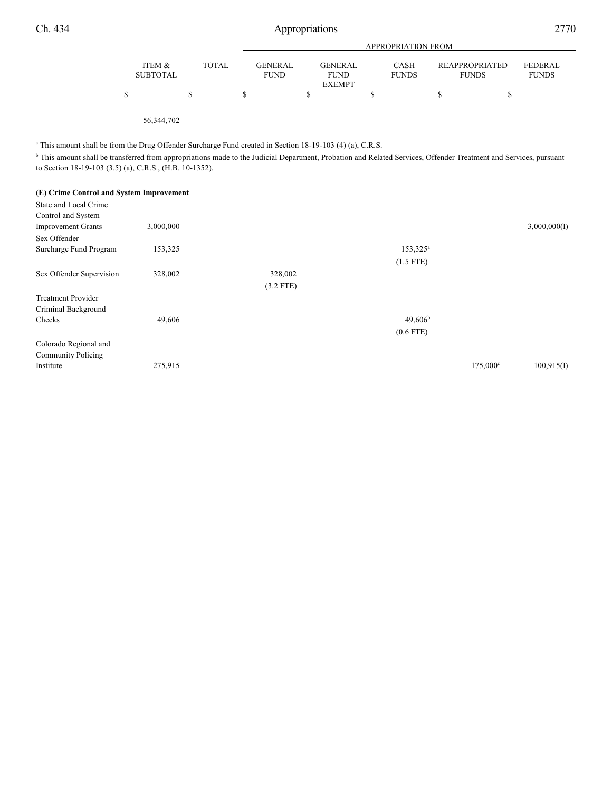|                           |              |                               | APPROPRIATION FROM            |                             |  |                                |                                |  |  |
|---------------------------|--------------|-------------------------------|-------------------------------|-----------------------------|--|--------------------------------|--------------------------------|--|--|
| ITEM &<br><b>SUBTOTAL</b> | <b>TOTAL</b> | <b>GENERAL</b><br><b>FUND</b> | <b>GENERAL</b><br><b>FUND</b> | <b>CASH</b><br><b>FUNDS</b> |  | REAPPROPRIATED<br><b>FUNDS</b> | <b>FEDERAL</b><br><b>FUNDS</b> |  |  |
|                           |              |                               | <b>EXEMPT</b>                 |                             |  |                                |                                |  |  |

56,344,702

<sup>a</sup> This amount shall be from the Drug Offender Surcharge Fund created in Section 18-19-103 (4) (a), C.R.S.

<sup>b</sup> This amount shall be transferred from appropriations made to the Judicial Department, Probation and Related Services, Offender Treatment and Services, pursuant to Section 18-19-103 (3.5) (a), C.R.S., (H.B. 10-1352).

### **(E) Crime Control and System Improvement**

| State and Local Crime     |           |             |                   |                   |              |
|---------------------------|-----------|-------------|-------------------|-------------------|--------------|
| Control and System        |           |             |                   |                   |              |
| <b>Improvement Grants</b> | 3,000,000 |             |                   |                   | 3,000,000(I) |
| Sex Offender              |           |             |                   |                   |              |
| Surcharge Fund Program    | 153,325   |             | $153,325^{\circ}$ |                   |              |
|                           |           |             | $(1.5$ FTE)       |                   |              |
| Sex Offender Supervision  | 328,002   | 328,002     |                   |                   |              |
|                           |           | $(3.2$ FTE) |                   |                   |              |
| <b>Treatment Provider</b> |           |             |                   |                   |              |
| Criminal Background       |           |             |                   |                   |              |
| Checks                    | 49,606    |             | $49,606^{\rm b}$  |                   |              |
|                           |           |             | $(0.6$ FTE)       |                   |              |
| Colorado Regional and     |           |             |                   |                   |              |
| <b>Community Policing</b> |           |             |                   |                   |              |
| Institute                 | 275,915   |             |                   | $175,000^{\circ}$ | 100,915(I)   |
|                           |           |             |                   |                   |              |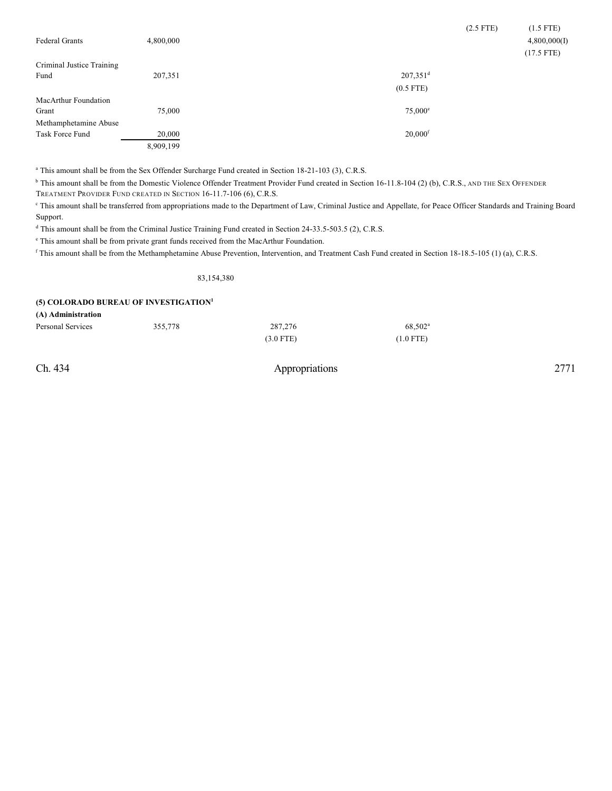| <b>Federal Grants</b>     | 4,800,000 | $(2.5$ FTE)            | $(1.5$ FTE)<br>4,800,000(I)<br>$(17.5$ FTE) |
|---------------------------|-----------|------------------------|---------------------------------------------|
| Criminal Justice Training |           |                        |                                             |
| Fund                      | 207,351   | $207,351$ <sup>d</sup> |                                             |
|                           |           | $(0.5$ FTE)            |                                             |
| MacArthur Foundation      |           |                        |                                             |
| Grant                     | 75,000    | $75,000^{\circ}$       |                                             |
| Methamphetamine Abuse     |           |                        |                                             |
| Task Force Fund           | 20,000    | $20,000$ <sup>f</sup>  |                                             |
|                           | 8,909,199 |                        |                                             |

<sup>a</sup> This amount shall be from the Sex Offender Surcharge Fund created in Section 18-21-103 (3), C.R.S.

<sup>b</sup> This amount shall be from the Domestic Violence Offender Treatment Provider Fund created in Section 16-11.8-104 (2) (b), C.R.S., AND THE SEX OFFENDER TREATMENT PROVIDER FUND CREATED IN SECTION 16-11.7-106 (6), C.R.S.

<sup>c</sup> This amount shall be transferred from appropriations made to the Department of Law, Criminal Justice and Appellate, for Peace Officer Standards and Training Board Support.

<sup>d</sup> This amount shall be from the Criminal Justice Training Fund created in Section 24-33.5-503.5 (2), C.R.S.

 $\degree$  This amount shall be from private grant funds received from the MacArthur Foundation.

<sup>f</sup> This amount shall be from the Methamphetamine Abuse Prevention, Intervention, and Treatment Cash Fund created in Section 18-18.5-105 (1) (a), C.R.S.

83,154,380

#### **(5) COLORADO BUREAU OF INVESTIGATION 1**

**(A) Administration**

| Personal Services | 355,778 | 287,276     | 68,502 <sup>a</sup> |
|-------------------|---------|-------------|---------------------|
|                   |         | $(3.0$ FTE) | $(1.0$ FTE)         |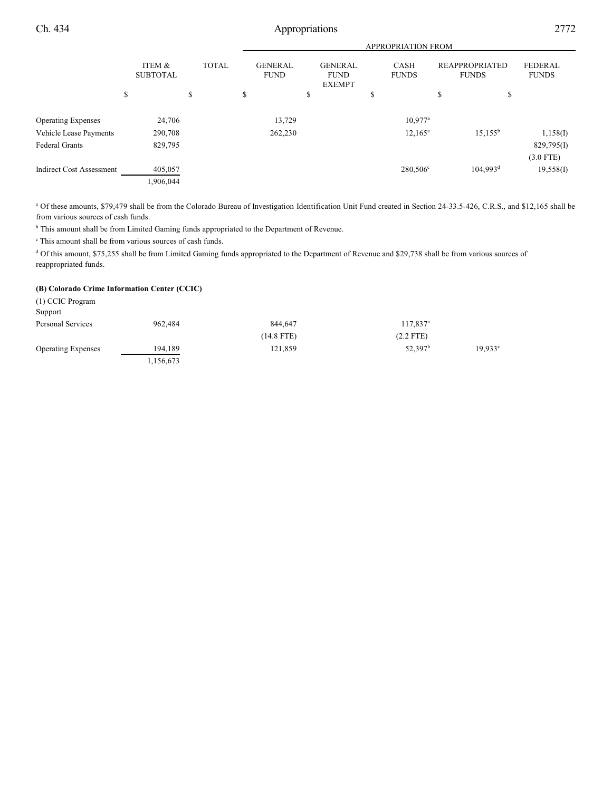|                                 |                           |              | <b>APPROPRIATION FROM</b>     |                                                |                             |                                       |                                |  |  |
|---------------------------------|---------------------------|--------------|-------------------------------|------------------------------------------------|-----------------------------|---------------------------------------|--------------------------------|--|--|
|                                 | ITEM &<br><b>SUBTOTAL</b> | <b>TOTAL</b> | <b>GENERAL</b><br><b>FUND</b> | <b>GENERAL</b><br><b>FUND</b><br><b>EXEMPT</b> | <b>CASH</b><br><b>FUNDS</b> | <b>REAPPROPRIATED</b><br><b>FUNDS</b> | <b>FEDERAL</b><br><b>FUNDS</b> |  |  |
|                                 | \$                        | \$           | S                             | \$                                             | \$                          | \$                                    | \$                             |  |  |
| <b>Operating Expenses</b>       | 24,706                    |              | 13,729                        |                                                | $10,977$ <sup>a</sup>       |                                       |                                |  |  |
| Vehicle Lease Payments          | 290,708                   |              | 262,230                       |                                                | $12,165^a$                  | $15,155^{\rm b}$                      | 1,158(I)                       |  |  |
| <b>Federal Grants</b>           | 829,795                   |              |                               |                                                |                             |                                       | 829,795(I)                     |  |  |
|                                 |                           |              |                               |                                                |                             |                                       | $(3.0$ FTE)                    |  |  |
| <b>Indirect Cost Assessment</b> | 405,057                   |              |                               |                                                | 280,506 <sup>c</sup>        | $104,993$ <sup>d</sup>                | 19,558(I)                      |  |  |
|                                 | 1,906,044                 |              |                               |                                                |                             |                                       |                                |  |  |
|                                 |                           |              |                               |                                                |                             |                                       |                                |  |  |

<sup>a</sup> Of these amounts, \$79,479 shall be from the Colorado Bureau of Investigation Identification Unit Fund created in Section 24-33.5-426, C.R.S., and \$12,165 shall be from various sources of cash funds.

 $b$  This amount shall be from Limited Gaming funds appropriated to the Department of Revenue.

 $\degree$  This amount shall be from various sources of cash funds.

<sup>d</sup> Of this amount, \$75,255 shall be from Limited Gaming funds appropriated to the Department of Revenue and \$29,738 shall be from various sources of reappropriated funds.

## **(B) Colorado Crime Information Center (CCIC)**

(1) CCIC Program Support Personal Services 962,484 844,647 117,837<sup>a</sup> (14.8 FTE) (2.2 FTE) Operating Expenses 194,189 121,859 52,397<sup>b</sup> 19,933<sup>c</sup> 1,156,673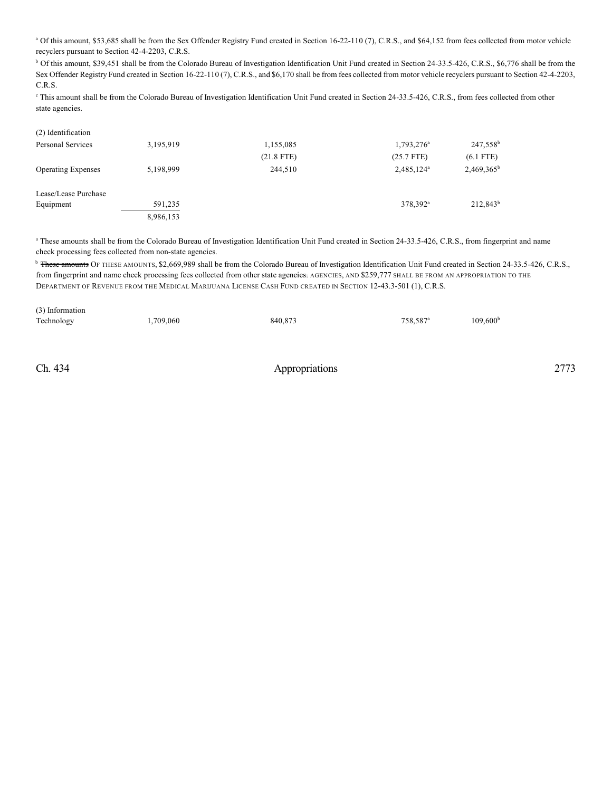<sup>a</sup> Of this amount, \$53,685 shall be from the Sex Offender Registry Fund created in Section 16-22-110 (7), C.R.S., and \$64,152 from fees collected from motor vehicle recyclers pursuant to Section 42-4-2203, C.R.S.

<sup>b</sup> Of this amount, \$39,451 shall be from the Colorado Bureau of Investigation Identification Unit Fund created in Section 24-33.5-426, C.R.S., \$6,776 shall be from the Sex Offender Registry Fund created in Section 16-22-110 (7), C.R.S., and \$6,170 shall be from fees collected from motor vehicle recyclers pursuant to Section 42-4-2203, C.R.S.

<sup>c</sup> This amount shall be from the Colorado Bureau of Investigation Identification Unit Fund created in Section 24-33.5-426, C.R.S., from fees collected from other state agencies.

| $(2)$ igentification      |           |              |                        |                      |
|---------------------------|-----------|--------------|------------------------|----------------------|
| Personal Services         | 3,195,919 | 1,155,085    | 1,793,276 <sup>a</sup> | 247,558 <sup>b</sup> |
|                           |           | $(21.8$ FTE) | $(25.7$ FTE)           | $(6.1$ FTE)          |
| <b>Operating Expenses</b> | 5,198,999 | 244,510      | 2,485,124 <sup>a</sup> | $2,469,365^b$        |
| Lease/Lease Purchase      |           |              |                        |                      |
| Equipment                 | 591,235   |              | 378,392 <sup>a</sup>   | $212,843^b$          |
|                           | 8,986,153 |              |                        |                      |
|                           |           |              |                        |                      |

<sup>a</sup> These amounts shall be from the Colorado Bureau of Investigation Identification Unit Fund created in Section 24-33.5-426, C.R.S., from fingerprint and name check processing fees collected from non-state agencies.

<sup>b</sup> These amounts OF THESE AMOUNTS, \$2,669,989 shall be from the Colorado Bureau of Investigation Identification Unit Fund created in Section 24-33.5-426, C.R.S., from fingerprint and name check processing fees collected from other state agencies. AGENCIES, AND \$259,777 SHALL BE FROM AN APPROPRIATION TO THE DEPARTMENT OF REVENUE FROM THE MEDICAL MARIJUANA LICENSE CASH FUND CREATED IN SECTION 12-43.3-501 (1), C.R.S.

| (3) Information |           |         |                      |                   |
|-----------------|-----------|---------|----------------------|-------------------|
| Technology      | 1,709,060 | 840,873 | 758,587 <sup>a</sup> | $109,600^{\rm b}$ |
|                 |           |         |                      |                   |
|                 |           |         |                      |                   |
|                 |           |         |                      |                   |

(2) Identification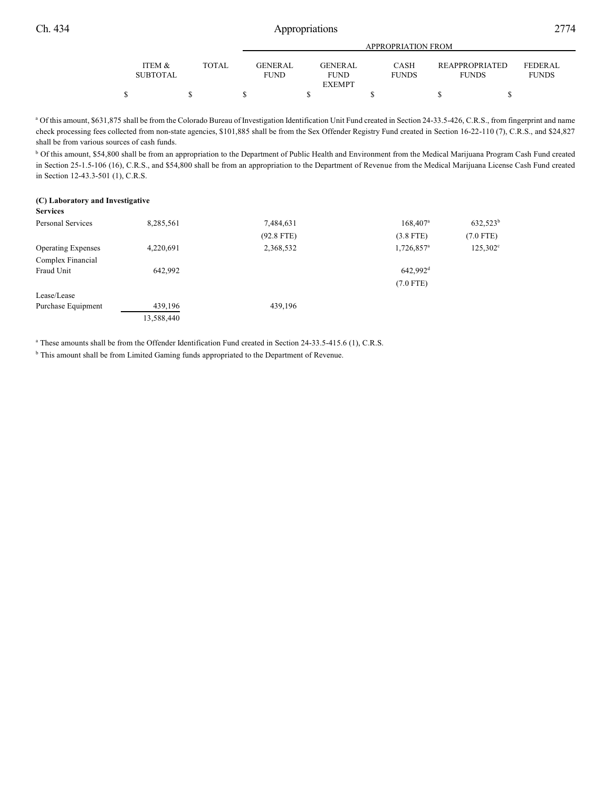|                           |       |                               | APPROPRIATION FROM            |                             |                                       |                                |  |  |  |
|---------------------------|-------|-------------------------------|-------------------------------|-----------------------------|---------------------------------------|--------------------------------|--|--|--|
| ITEM &<br><b>SUBTOTAL</b> | TOTAL | <b>GENERAL</b><br><b>FUND</b> | <b>GENERAL</b><br><b>FUND</b> | <b>CASH</b><br><b>FUNDS</b> | <b>REAPPROPRIATED</b><br><b>FUNDS</b> | <b>FEDERAL</b><br><b>FUNDS</b> |  |  |  |
|                           |       |                               | <b>EXEMPT</b>                 |                             |                                       |                                |  |  |  |
|                           |       |                               |                               |                             |                                       |                                |  |  |  |

<sup>a</sup> Of this amount, \$631,875 shall be from the Colorado Bureau of Investigation Identification Unit Fund created in Section 24-33.5-426, C.R.S., from fingerprint and name check processing fees collected from non-state agencies, \$101,885 shall be from the Sex Offender Registry Fund created in Section 16-22-110 (7), C.R.S., and \$24,827 shall be from various sources of cash funds.

<sup>b</sup> Of this amount, \$54,800 shall be from an appropriation to the Department of Public Health and Environment from the Medical Marijuana Program Cash Fund created in Section 25-1.5-106 (16), C.R.S., and \$54,800 shall be from an appropriation to the Department of Revenue from the Medical Marijuana License Cash Fund created in Section 12-43.3-501 (1), C.R.S.

#### **(C) Laboratory and Investigative Services**

| Personal Services         | 8,285,561  | 7,484,631    | $168,407$ <sup>a</sup>   | $632,523^b$       |
|---------------------------|------------|--------------|--------------------------|-------------------|
|                           |            | $(92.8$ FTE) | $(3.8$ FTE)              | $(7.0$ FTE)       |
| <b>Operating Expenses</b> | 4,220,691  | 2,368,532    | $1,726,857$ <sup>a</sup> | $125,302^{\circ}$ |
| Complex Financial         |            |              |                          |                   |
| Fraud Unit                | 642.992    |              | 642.992 <sup>d</sup>     |                   |
|                           |            |              | $(7.0$ FTE)              |                   |
| Lease/Lease               |            |              |                          |                   |
| Purchase Equipment        | 439,196    | 439,196      |                          |                   |
|                           | 13,588,440 |              |                          |                   |

<sup>a</sup> These amounts shall be from the Offender Identification Fund created in Section 24-33.5-415.6 (1), C.R.S.

<sup>b</sup> This amount shall be from Limited Gaming funds appropriated to the Department of Revenue.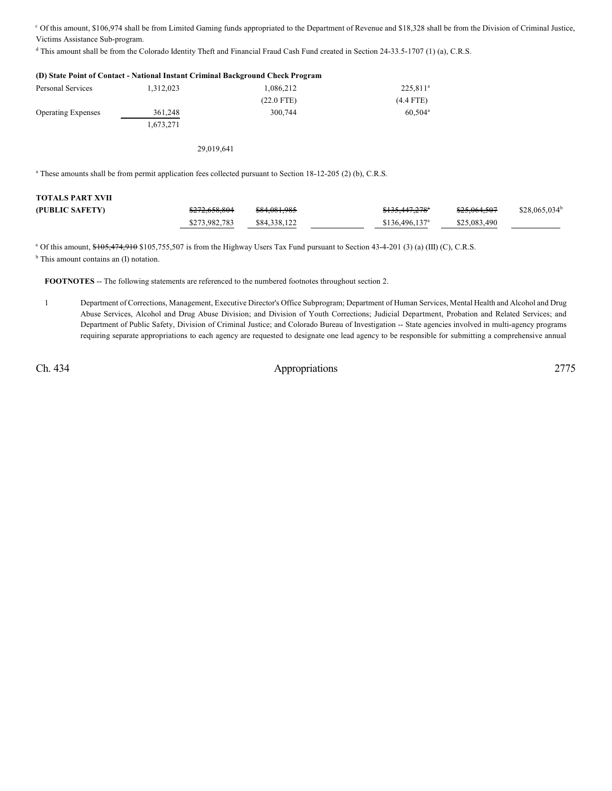Of this amount, \$106,974 shall be from Limited Gaming funds appropriated to the Department of Revenue and \$18,328 shall be from the Division of Criminal Justice, <sup>c</sup> Victims Assistance Sub-program.

<sup>d</sup> This amount shall be from the Colorado Identity Theft and Financial Fraud Cash Fund created in Section 24-33.5-1707 (1) (a), C.R.S.

|                           |            | (D) State Point of Contact - National Instant Criminal Background Check Program |                      |
|---------------------------|------------|---------------------------------------------------------------------------------|----------------------|
| Personal Services         | 1,312,023  | 1,086,212                                                                       | 225,811 <sup>a</sup> |
|                           |            | $(22.0$ FTE)                                                                    | $(4.4$ FTE)          |
| <b>Operating Expenses</b> | 361,248    | 300.744                                                                         | $60.504^{\text{a}}$  |
|                           | 1,673,271  |                                                                                 |                      |
|                           | 29,019,641 |                                                                                 |                      |
|                           |            |                                                                                 |                      |

<sup>a</sup> These amounts shall be from permit application fees collected pursuant to Section 18-12-205 (2) (b), C.R.S.

| <b>TOTALS PART XVII</b> |                          |              |                             |              |                 |
|-------------------------|--------------------------|--------------|-----------------------------|--------------|-----------------|
| (PUBLIC SAFETY)         | <del>\$272,658,804</del> | \$84,081,985 | <del>\$135,447,278</del> *  | \$25,064,507 | $$28.065.034^b$ |
|                         | \$273,982,783            | \$84,338,122 | $$136,496,137$ <sup>a</sup> | \$25,083,490 |                 |

<sup>a</sup> Of this amount, \$105,474,910 \$105,755,507 is from the Highway Users Tax Fund pursuant to Section 43-4-201 (3) (a) (III) (C), C.R.S.

<sup>b</sup> This amount contains an (I) notation.

**FOOTNOTES** -- The following statements are referenced to the numbered footnotes throughout section 2.

1 Department of Corrections, Management, Executive Director's Office Subprogram; Department of Human Services, Mental Health and Alcohol and Drug Abuse Services, Alcohol and Drug Abuse Division; and Division of Youth Corrections; Judicial Department, Probation and Related Services; and Department of Public Safety, Division of Criminal Justice; and Colorado Bureau of Investigation -- State agencies involved in multi-agency programs requiring separate appropriations to each agency are requested to designate one lead agency to be responsible for submitting a comprehensive annual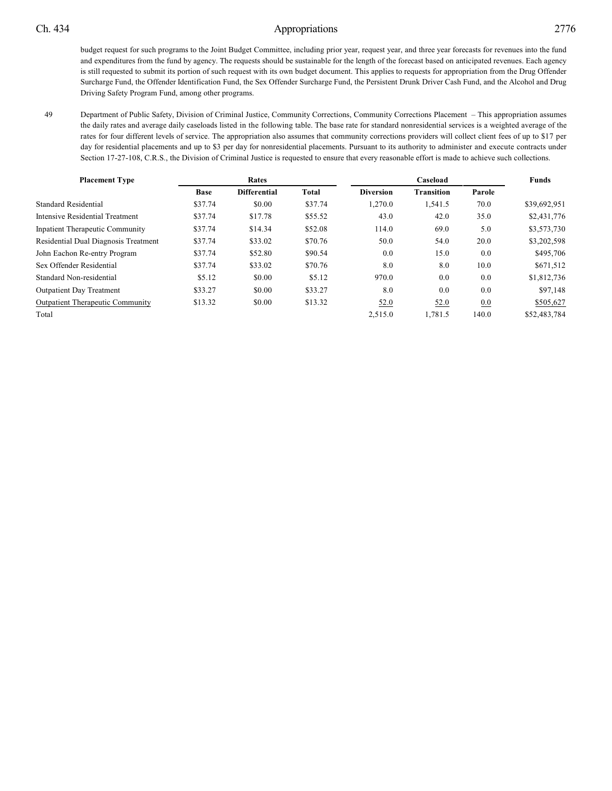49 Department of Public Safety, Division of Criminal Justice, Community Corrections, Community Corrections Placement – This appropriation assumes the daily rates and average daily caseloads listed in the following table. The base rate for standard nonresidential services is a weighted average of the rates for four different levels of service. The appropriation also assumes that community corrections providers will collect client fees of up to \$17 per day for residential placements and up to \$3 per day for nonresidential placements. Pursuant to its authority to administer and execute contracts under Section 17-27-108, C.R.S., the Division of Criminal Justice is requested to ensure that every reasonable effort is made to achieve such collections.

| <b>Placement Type</b>                   | Rates       |                     |         | Caseload         |                   |        | <b>Funds</b> |
|-----------------------------------------|-------------|---------------------|---------|------------------|-------------------|--------|--------------|
|                                         | <b>Base</b> | <b>Differential</b> | Total   | <b>Diversion</b> | <b>Transition</b> | Parole |              |
| <b>Standard Residential</b>             | \$37.74     | \$0.00              | \$37.74 | 1.270.0          | 1,541.5           | 70.0   | \$39,692,951 |
| Intensive Residential Treatment         | \$37.74     | \$17.78             | \$55.52 | 43.0             | 42.0              | 35.0   | \$2,431,776  |
| <b>Inpatient Therapeutic Community</b>  | \$37.74     | \$14.34             | \$52.08 | 114.0            | 69.0              | 5.0    | \$3,573,730  |
| Residential Dual Diagnosis Treatment    | \$37.74     | \$33.02             | \$70.76 | 50.0             | 54.0              | 20.0   | \$3,202,598  |
| John Eachon Re-entry Program            | \$37.74     | \$52.80             | \$90.54 | 0.0              | 15.0              | 0.0    | \$495,706    |
| Sex Offender Residential                | \$37.74     | \$33.02             | \$70.76 | 8.0              | 8.0               | 10.0   | \$671,512    |
| Standard Non-residential                | \$5.12      | \$0.00              | \$5.12  | 970.0            | 0.0               | 0.0    | \$1,812,736  |
| <b>Outpatient Day Treatment</b>         | \$33.27     | \$0.00              | \$33.27 | 8.0              | 0.0               | 0.0    | \$97,148     |
| <b>Outpatient Therapeutic Community</b> | \$13.32     | \$0.00              | \$13.32 | 52.0             | 52.0              | 0.0    | \$505,627    |
| Total                                   |             |                     |         | 2,515.0          | 1.781.5           | 140.0  | \$52,483,784 |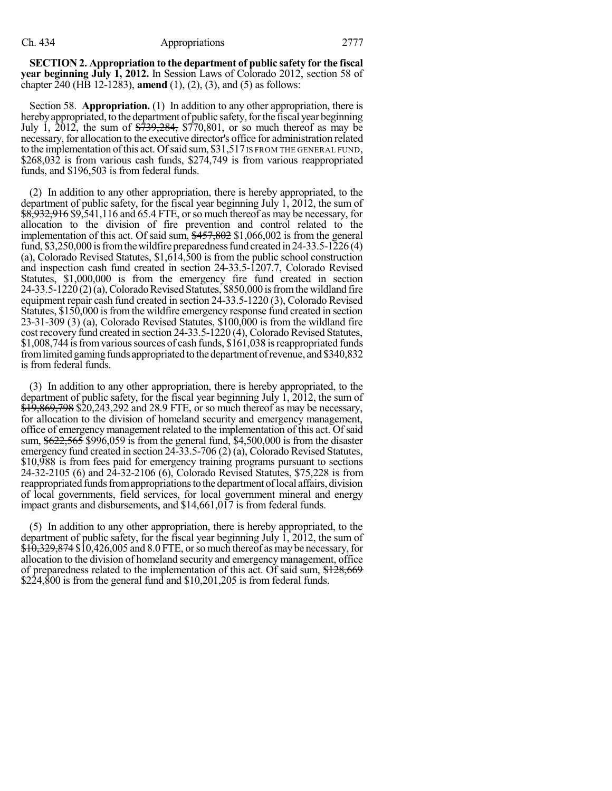**SECTION 2. Appropriation to the department of public safety for the fiscal year beginning July 1, 2012.** In Session Laws of Colorado 2012, section 58 of chapter 240 (HB 12-1283), **amend** (1), (2), (3), and (5) as follows:

Section 58. **Appropriation.** (1) In addition to any other appropriation, there is hereby appropriated, to the department of public safety, for the fiscal year beginning July 1,  $2012$ , the sum of  $\frac{2739}{284}$ ,  $\frac{284}{770}$ ,  $801$ , or so much thereof as may be necessary, for allocation to the executive director's office for administration related to the implementation of this act. Of said sum, \$31,517 IS FROM THE GENERAL FUND, \$268,032 is from various cash funds, \$274,749 is from various reappropriated funds, and \$196,503 is from federal funds.

(2) In addition to any other appropriation, there is hereby appropriated, to the department of public safety, for the fiscal year beginning July 1, 2012, the sum of \$8,932,916 \$9,541,116 and 65.4 FTE, or so much thereof as may be necessary, for allocation to the division of fire prevention and control related to the implementation of this act. Of said sum,  $\frac{$457,802}{$1,066,002}$  is from the general fund, \$3,250,000 is from the wildfire preparedness fund created in  $24-33.5-1226(4)$ (a), Colorado Revised Statutes, \$1,614,500 is from the public school construction and inspection cash fund created in section 24-33.5-1207.7, Colorado Revised Statutes, \$1,000,000 is from the emergency fire fund created in section  $24-33.5-1220(2)(a)$ , Colorado Revised Statutes, \$850,000 is from the wildland fire equipment repair cash fund created in section 24-33.5-1220 (3), Colorado Revised Statutes, \$150,000 is from the wildfire emergency response fund created in section 23-31-309 (3) (a), Colorado Revised Statutes, \$100,000 is from the wildland fire cost recovery fund created in section 24-33.5-1220 (4), Colorado Revised Statutes, \$1,008,744 is from various sources of cash funds, \$161,038 is reappropriated funds from limited gaming funds appropriated to the department of revenue, and \$340,832 is from federal funds.

(3) In addition to any other appropriation, there is hereby appropriated, to the department of public safety, for the fiscal year beginning July 1, 2012, the sum of \$19,869,798 \$20,243,292 and 28.9 FTE, or so much thereof as may be necessary, for allocation to the division of homeland security and emergency management, office of emergency management related to the implementation of this act. Ofsaid sum, \$622,565 \$996,059 is from the general fund, \$4,500,000 is from the disaster emergency fund created in section 24-33.5-706 (2) (a), Colorado Revised Statutes, \$10,988 is from fees paid for emergency training programs pursuant to sections 24-32-2105 (6) and 24-32-2106 (6), Colorado Revised Statutes, \$75,228 is from reappropriated funds from appropriations to the department of local affairs, division of local governments, field services, for local government mineral and energy impact grants and disbursements, and \$14,661,017 is from federal funds.

(5) In addition to any other appropriation, there is hereby appropriated, to the department of public safety, for the fiscal year beginning July 1, 2012, the sum of  $\overline{$10,329,874 $10,426,005}$  and 8.0 FTE, or so much thereof as may be necessary, for allocation to the division of homeland security and emergency management, office of preparedness related to the implementation of this act. Of said sum, \$128,669 \$224,800 is from the general fund and \$10,201,205 is from federal funds.